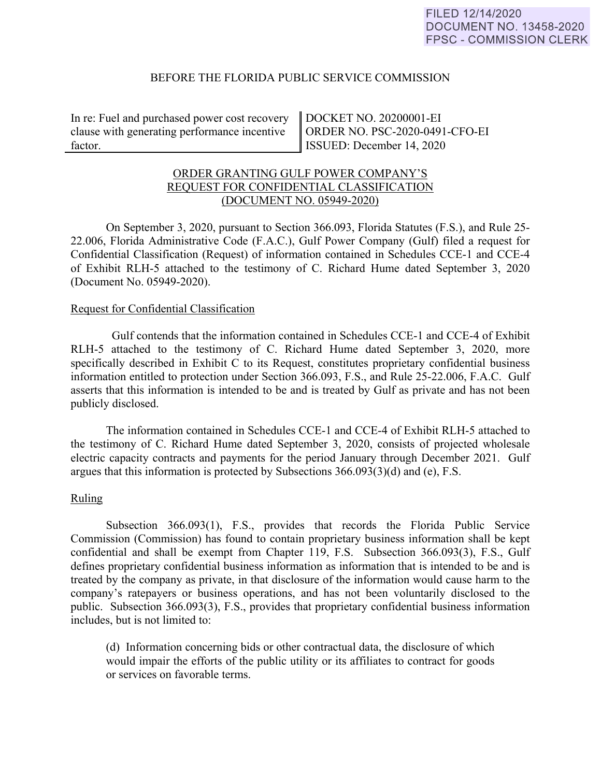## BEFORE THE FLORIDA PUBLIC SERVICE COMMISSION

In re: Fuel and purchased power cost recovery clause with generating performance incentive factor.

DOCKET NO. 20200001-EI ORDER NO. PSC-2020-0491-CFO-EI ISSUED: December 14, 2020

# ORDER GRANTING GULF POWER COMPANY'S REQUEST FOR CONFIDENTIAL CLASSIFICATION (DOCUMENT NO. 05949-2020)

On September 3, 2020, pursuant to Section 366.093, Florida Statutes (F.S.), and Rule 25- 22.006, Florida Administrative Code (F.A.C.), Gulf Power Company (Gulf) filed a request for Confidential Classification (Request) of information contained in Schedules CCE-1 and CCE-4 of Exhibit RLH-5 attached to the testimony of C. Richard Hume dated September 3, 2020 (Document No. 05949-2020).

### Request for Confidential Classification

 Gulf contends that the information contained in Schedules CCE-1 and CCE-4 of Exhibit RLH-5 attached to the testimony of C. Richard Hume dated September 3, 2020, more specifically described in Exhibit C to its Request, constitutes proprietary confidential business information entitled to protection under Section 366.093, F.S., and Rule 25-22.006, F.A.C. Gulf asserts that this information is intended to be and is treated by Gulf as private and has not been publicly disclosed.

The information contained in Schedules CCE-1 and CCE-4 of Exhibit RLH-5 attached to the testimony of C. Richard Hume dated September 3, 2020, consists of projected wholesale electric capacity contracts and payments for the period January through December 2021. Gulf argues that this information is protected by Subsections 366.093(3)(d) and (e), F.S.

### Ruling

Subsection 366.093(1), F.S., provides that records the Florida Public Service Commission (Commission) has found to contain proprietary business information shall be kept confidential and shall be exempt from Chapter 119, F.S. Subsection 366.093(3), F.S., Gulf defines proprietary confidential business information as information that is intended to be and is treated by the company as private, in that disclosure of the information would cause harm to the company's ratepayers or business operations, and has not been voluntarily disclosed to the public. Subsection 366.093(3), F.S., provides that proprietary confidential business information includes, but is not limited to:

 (d) Information concerning bids or other contractual data, the disclosure of which would impair the efforts of the public utility or its affiliates to contract for goods or services on favorable terms.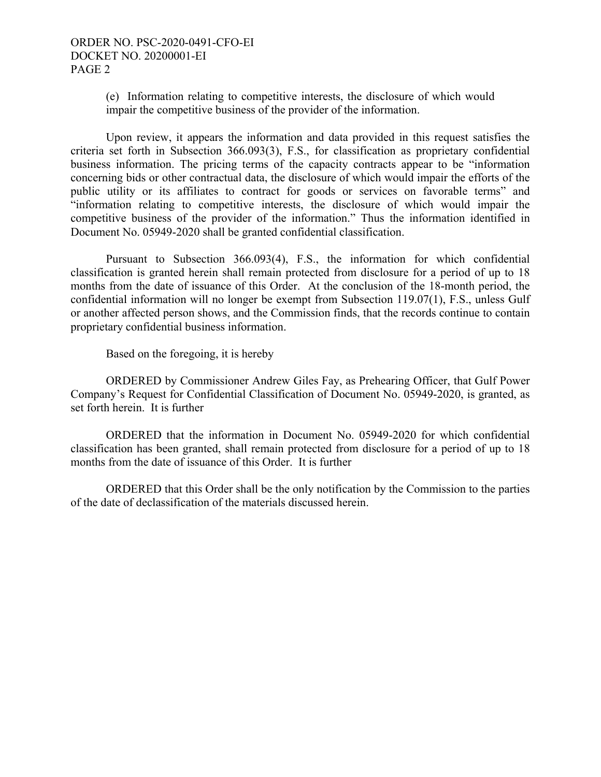(e) Information relating to competitive interests, the disclosure of which would impair the competitive business of the provider of the information.

Upon review, it appears the information and data provided in this request satisfies the criteria set forth in Subsection 366.093(3), F.S., for classification as proprietary confidential business information. The pricing terms of the capacity contracts appear to be "information concerning bids or other contractual data, the disclosure of which would impair the efforts of the public utility or its affiliates to contract for goods or services on favorable terms" and "information relating to competitive interests, the disclosure of which would impair the competitive business of the provider of the information." Thus the information identified in Document No. 05949-2020 shall be granted confidential classification.

Pursuant to Subsection 366.093(4), F.S., the information for which confidential classification is granted herein shall remain protected from disclosure for a period of up to 18 months from the date of issuance of this Order. At the conclusion of the 18-month period, the confidential information will no longer be exempt from Subsection 119.07(1), F.S., unless Gulf or another affected person shows, and the Commission finds, that the records continue to contain proprietary confidential business information.

Based on the foregoing, it is hereby

 ORDERED by Commissioner Andrew Giles Fay, as Prehearing Officer, that Gulf Power Company's Request for Confidential Classification of Document No. 05949-2020, is granted, as set forth herein. It is further

 ORDERED that the information in Document No. 05949-2020 for which confidential classification has been granted, shall remain protected from disclosure for a period of up to 18 months from the date of issuance of this Order. It is further

 ORDERED that this Order shall be the only notification by the Commission to the parties of the date of declassification of the materials discussed herein.